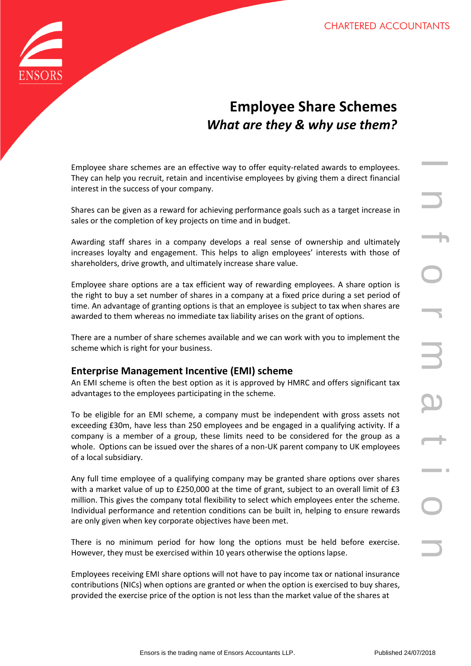

# **Employee Share Schemes** *What are they & why use them?*

Employee share schemes are an effective way to offer equity-related awards to employees. They can help you recruit, retain and incentivise employees by giving them a direct financial interest in the success of your company.

Shares can be given as a reward for achieving performance goals such as a target increase in sales or the completion of key projects on time and in budget.

Awarding staff shares in a company develops a real sense of ownership and ultimately increases loyalty and engagement. This helps to align employees' interests with those of shareholders, drive growth, and ultimately increase share value.

Employee share options are a tax efficient way of rewarding employees. A share option is the right to buy a set number of shares in a company at a fixed price during a set period of time. An advantage of granting options is that an employee is subject to tax when shares are awarded to them whereas no immediate tax liability arises on the grant of options.

There are a number of share schemes available and we can work with you to implement the scheme which is right for your business.

# **Enterprise Management Incentive (EMI) scheme**

An EMI scheme is often the best option as it is approved by HMRC and offers significant tax advantages to the employees participating in the scheme.

nemes are an effective way to offer equity-related awards to employees.<br>
recruit, retain and incentivise employees by giving them a direct financial<br>
sizes of your company.<br>
then of stelleving performance goals such as a t To be eligible for an EMI scheme, a company must be independent with gross assets not exceeding £30m, have less than 250 employees and be engaged in a qualifying activity. If a company is a member of a group, these limits need to be considered for the group as a whole. Options can be issued over the shares of a non-UK parent company to UK employees of a local subsidiary.

Any full time employee of a qualifying company may be granted share options over shares with a market value of up to £250,000 at the time of grant, subject to an overall limit of £3 million. This gives the company total flexibility to select which employees enter the scheme. Individual performance and retention conditions can be built in, helping to ensure rewards are only given when key corporate objectives have been met.

There is no minimum period for how long the options must be held before exercise. However, they must be exercised within 10 years otherwise the options lapse.

Employees receiving EMI share options will not have to pay income tax or national insurance contributions (NICs) when options are granted or when the option is exercised to buy shares, provided the exercise price of the option is not less than the market value of the shares at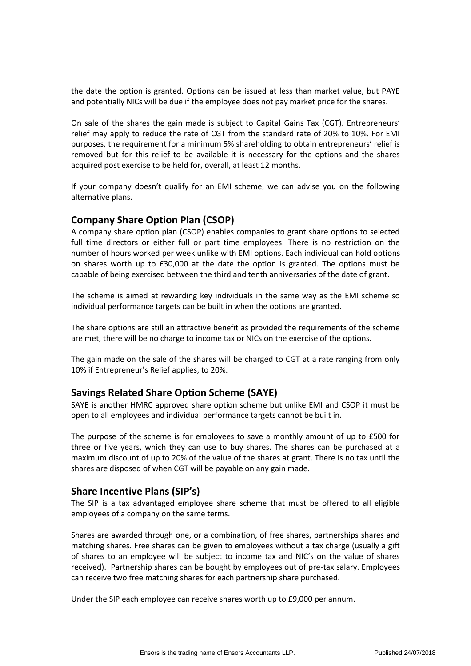the date the option is granted. Options can be issued at less than market value, but PAYE and potentially NICs will be due if the employee does not pay market price for the shares.

On sale of the shares the gain made is subject to Capital Gains Tax (CGT). Entrepreneurs' relief may apply to reduce the rate of CGT from the standard rate of 20% to 10%. For EMI purposes, the requirement for a minimum 5% shareholding to obtain entrepreneurs' relief is removed but for this relief to be available it is necessary for the options and the shares acquired post exercise to be held for, overall, at least 12 months.

If your company doesn't qualify for an EMI scheme, we can advise you on the following alternative plans.

## **Company Share Option Plan (CSOP)**

A company share option plan (CSOP) enables companies to grant share options to selected full time directors or either full or part time employees. There is no restriction on the number of hours worked per week unlike with EMI options. Each individual can hold options on shares worth up to £30,000 at the date the option is granted. The options must be capable of being exercised between the third and tenth anniversaries of the date of grant.

The scheme is aimed at rewarding key individuals in the same way as the EMI scheme so individual performance targets can be built in when the options are granted.

The share options are still an attractive benefit as provided the requirements of the scheme are met, there will be no charge to income tax or NICs on the exercise of the options.

The gain made on the sale of the shares will be charged to CGT at a rate ranging from only 10% if Entrepreneur's Relief applies, to 20%.

#### **Savings Related Share Option Scheme (SAYE)**

SAYE is another HMRC approved share option scheme but unlike EMI and CSOP it must be open to all employees and individual performance targets cannot be built in.

The purpose of the scheme is for employees to save a monthly amount of up to £500 for three or five years, which they can use to buy shares. The shares can be purchased at a maximum discount of up to 20% of the value of the shares at grant. There is no tax until the shares are disposed of when CGT will be payable on any gain made.

# **Share Incentive Plans (SIP's)**

The SIP is a tax advantaged employee share scheme that must be offered to all eligible employees of a company on the same terms.

Shares are awarded through one, or a combination, of free shares, partnerships shares and matching shares. Free shares can be given to employees without a tax charge (usually a gift of shares to an employee will be subject to income tax and NIC's on the value of shares received). Partnership shares can be bought by employees out of pre-tax salary. Employees can receive two free matching shares for each partnership share purchased.

Under the SIP each employee can receive shares worth up to £9,000 per annum.